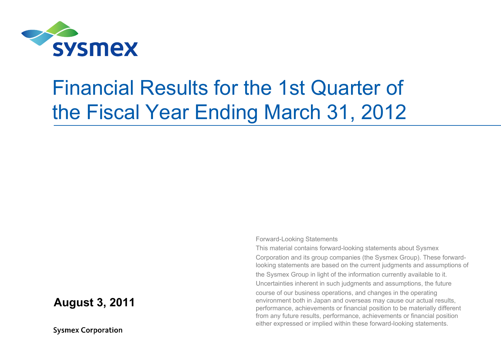

## Financial Results for the 1st Quarter of the Fiscal Year Ending March 31, 2012

#### **August 3, 2011**

**Sysmex Corporation** 

Forward-Looking Statements

This material contains forward-looking statements about Sysmex Corporation and its group companies (the Sysmex Group). These forwardlooking statements are based on the current judgments and assumptions of the Sysmex Group in light of the information currently available to it. Uncertainties inherent in such judgments and assumptions, the future course of our business operations, and changes in the operating environment both in Japan and overseas may cause our actual results, performance, achievements or financial position to be materially different from any future results, performance, achievements or financial position either expressed or implied within these forward-looking statements.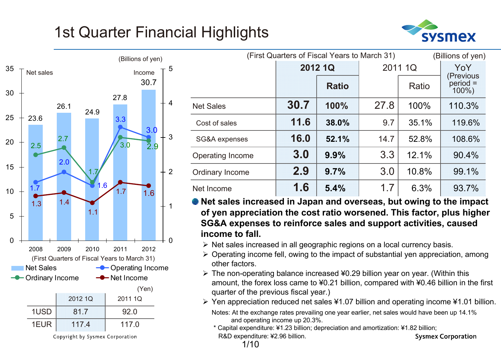## 1st Quarter Financial Highlights





Copyright by Sysmex Corporation

| (First Quarters of Fiscal Years to March 31)<br>(Billions of yen) |      |              |      |         |                               |  |  |  |  |
|-------------------------------------------------------------------|------|--------------|------|---------|-------------------------------|--|--|--|--|
|                                                                   |      | 2012 1Q      |      | 2011 1Q | YoY                           |  |  |  |  |
|                                                                   |      | <b>Ratio</b> |      | Ratio   | (Previous<br>period = $100\%$ |  |  |  |  |
| <b>Net Sales</b>                                                  | 30.7 | 100%         | 27.8 | 100%    | 110.3%                        |  |  |  |  |
| Cost of sales                                                     | 11.6 | 38.0%        | 9.7  | 35.1%   | 119.6%                        |  |  |  |  |
| SG&A expenses                                                     | 16.0 | 52.1%        | 14.7 | 52.8%   | 108.6%                        |  |  |  |  |
| Operating Income                                                  | 3.0  | 9.9%         | 3.3  | 12.1%   | 90.4%                         |  |  |  |  |
| Ordinary Income                                                   | 2.9  | 9.7%         | 3.0  | 10.8%   | 99.1%                         |  |  |  |  |
| Net Income                                                        | 1.6  | 5.4%         | 1.7  | 6.3%    | 93.7%                         |  |  |  |  |

**Net sales increased in Japan and overseas, but owing to the impact of yen appreciation the cost ratio worsened. This factor, plus higher SG&A expenses to reinforce sales and support activities, caused income to fall.**

- $\triangleright$  Net sales increased in all geographic regions on a local currency basis.
- $\triangleright$  Operating income fell, owing to the impact of substantial yen appreciation, among other factors.
- $\triangleright$  The non-operating balance increased ¥0.29 billion year on year. (Within this amount, the forex loss came to ¥0.21 billion, compared with ¥0.46 billion in the first quarter of the previous fiscal year.)
- Yen appreciation reduced net sales ¥1.07 billion and operating income ¥1.01 billion.
	- Notes: At the exchange rates prevailing one year earlier, net sales would have been up 14.1% and operating income up 20.3%.
	- \* Capital expenditure: ¥1.23 billion; depreciation and amortization: ¥1.82 billion; R&D expenditure: ¥2.96 billion. **Sysmex Corporation**

1/10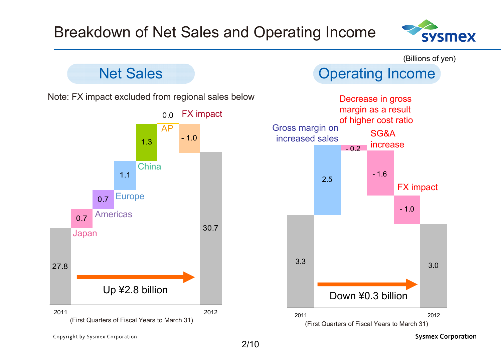



Copyright by Sysmex Corporation

2/10

**Sysmex Corporation**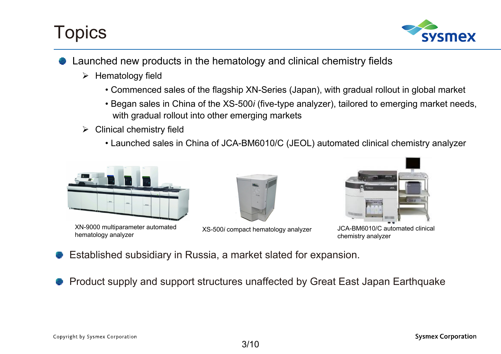## **Topics**



- Launched new products in the hematology and clinical chemistry fields
	- $\triangleright$  Hematology field
		- Commenced sales of the flagship XN-Series (Japan), with gradual rollout in global market
		- Began sales in China of the XS-500*i* (five-type analyzer), tailored to emerging market needs, with gradual rollout into other emerging markets
	- $\triangleright$  Clinical chemistry field
		- Launched sales in China of JCA-BM6010/C (JEOL) automated clinical chemistry analyzer



XN-9000 multiparameter automated hematology analyzer



XS-500*i* compact hematology analyzer



JCA-BM6010/C automated clinical chemistry analyzer

- Established subsidiary in Russia, a market slated for expansion.
- Product supply and support structures unaffected by Great East Japan Earthquake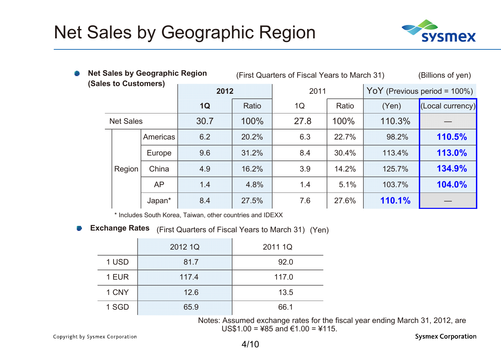## Net Sales by Geographic Region



| <b>Allen</b>         |  |                  | <b>Net Sales by Geographic Region</b> | (First Quarters of Fiscal Years to March 31)<br>(Billions of yen) |       |      |       |                                  |                  |  |
|----------------------|--|------------------|---------------------------------------|-------------------------------------------------------------------|-------|------|-------|----------------------------------|------------------|--|
| (Sales to Customers) |  |                  |                                       | 2012                                                              |       | 2011 |       | YoY (Previous period = $100\%$ ) |                  |  |
|                      |  |                  |                                       | 1Q                                                                | Ratio | 1Q   | Ratio | (Yen)                            | (Local currency) |  |
|                      |  | <b>Net Sales</b> |                                       | 30.7                                                              | 100%  | 27.8 | 100%  | 110.3%                           |                  |  |
|                      |  |                  | Americas                              | 6.2                                                               | 20.2% | 6.3  | 22.7% | 98.2%                            | 110.5%           |  |
|                      |  |                  | Europe                                | 9.6                                                               | 31.2% | 8.4  | 30.4% | 113.4%                           | 113.0%           |  |
|                      |  | Region           | China<br>4.9                          |                                                                   | 16.2% | 3.9  | 14.2% | 125.7%                           | 134.9%           |  |
|                      |  |                  | <b>AP</b>                             | 1.4                                                               | 4.8%  | 1.4  | 5.1%  | 103.7%                           | 104.0%           |  |
|                      |  |                  | Japan*                                | 8.4                                                               | 27.5% | 7.6  | 27.6% | 110.1%                           |                  |  |

\* Includes South Korea, Taiwan, other countries and IDEXX

 $\mathbb{R}^2$ **Exchange Rates** (First Quarters of Fiscal Years to March 31) (Yen)

|       | 2012 1Q | 2011 1Q |
|-------|---------|---------|
| 1 USD | 81.7    | 92.0    |
| 1 EUR | 117.4   | 117.0   |
| 1 CNY | 12.6    | 13.5    |
| 1 SGD | 65.9    | 66.1    |

Notes: Assumed exchange rates for the fiscal year ending March 31, 2012, are US\$1.00 = ¥85 and €1.00 = ¥115.

Copyright by Sysmex Corporation

**Sysmex Corporation**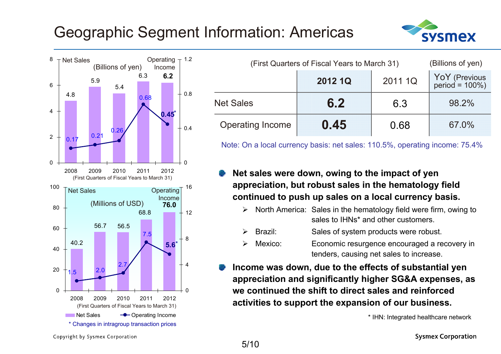## Geographic Segment Information: Americas





| Net Sales | (Billions of yen) |      | Operating $\tau$ 1.2<br>Income |        |                         | (First Quarters of Fiscal Years to March 31) |         |                                     |
|-----------|-------------------|------|--------------------------------|--------|-------------------------|----------------------------------------------|---------|-------------------------------------|
|           | 5.9<br>5.4        | 6.3  | 6.2                            |        |                         | 2012 1Q                                      | 2011 1Q | YoY (Previous<br>period = $100\%$ ) |
| 4.8       |                   | 0.68 | 0.45                           | $+0.8$ | <b>Net Sales</b>        | 6.2                                          | 6.3     | 98.2%                               |
|           | 0.26<br>0.24      |      |                                | $+0.4$ | <b>Operating Income</b> | 0.45                                         | 0.68    | 67.0%                               |

Note: On a local currency basis: net sales: 110.5%, operating income: 75.4%

#### **Net sales were down, owing to the impact of yen appreciation, but robust sales in the hematology field continued to push up sales on a local currency basis.**

- $\blacktriangleright$  North America: Sales in the hematology field were firm, owing to sales to IHNs<sup>\*</sup> and other customers.
- $\blacktriangleright$ Brazil: Sales of system products were robust.
- $\blacktriangleright$  Mexico: Economic resurgence encouraged a recovery in tenders, causing net sales to increase.
- **Income was down, due to the effects of substantial yen appreciation and significantly higher SG&A expenses, as we continued the shift to direct sales and reinforced activities to support the expansion of our business.**

\* IHN: Integrated healthcare network

Copyright by Sysmex Corporation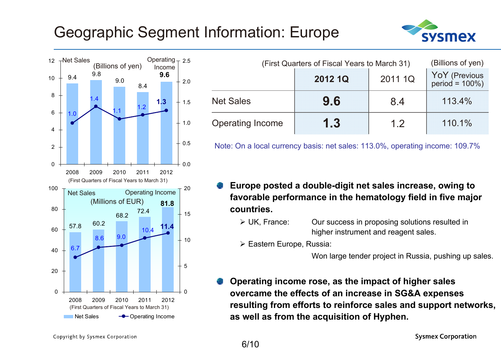#### Geographic Segment Information: Europe





| Net Sales |     | (Billions of yen) |     | Operating $-2.5$<br>Income |        |                         | (First Quarters of Fiscal Years to March 31) |         | (Billions of yen)                  |
|-----------|-----|-------------------|-----|----------------------------|--------|-------------------------|----------------------------------------------|---------|------------------------------------|
| 9.4       | 9.8 | 9.0               | 8.4 | 9.6                        | 2.0    |                         | 2012 1Q                                      | 2011 1Q | YoY (Previous<br>$period = 100\%)$ |
|           |     |                   |     |                            | 1.5    | <b>Net Sales</b>        | 9.6                                          | 8.4     | 113.4%                             |
|           |     |                   |     |                            | $-1.0$ | <b>Operating Income</b> | 1.3                                          | 1 つ     | 110.1%                             |

Note: On a local currency basis: net sales: 113.0%, operating income: 109.7%

- **Europe posted a double-digit net sales increase, owing to favorable performance in the hematology field in five major countries.**
	- > UK. France: Our success in proposing solutions resulted in higher instrument and reagent sales.
	- Eastern Europe, Russia:

Won large tender project in Russia, pushing up sales.

**Operating income rose, as the impact of higher sales overcame the effects of an increase in SG&A expenses resulting from efforts to reinforce sales and support networks, as well as from the acquisition of Hyphen.**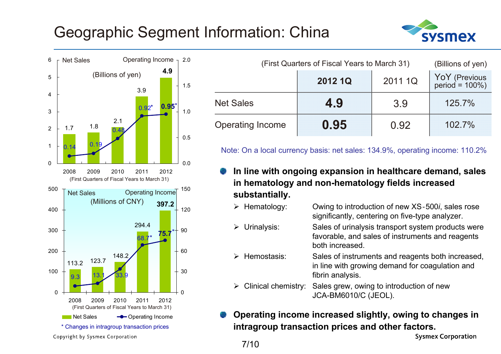## Geographic Segment Information: China





|                         | (First Quarters of Fiscal Years to March 31) |         |                                 |  |  |  |  |
|-------------------------|----------------------------------------------|---------|---------------------------------|--|--|--|--|
|                         | 2012 1Q                                      | 2011 1Q | YoY (Previous<br>period = 100%) |  |  |  |  |
| <b>Net Sales</b>        | 4.9                                          | 3.9     | 125.7%                          |  |  |  |  |
| <b>Operating Income</b> | 0.95                                         | 0.92    | 102.7%                          |  |  |  |  |

Note: On a local currency basis: net sales: 134.9%, operating income: 110.2%

- **In line with ongoing expansion in healthcare demand, sales in hematology and non-hematology fields increased substantially.**
	- $\triangleright$  Hematology: Owing to introduction of new XS-500*i*, sales rose significantly, centering on five-type analyzer.
	- $\triangleright$  Urinalysis: Sales of urinalysis transport system products were favorable, and sales of instruments and reagents both increased.
	- $\triangleright$  Hemostasis: Sales of instruments and reagents both increased, in line with growing demand for coagulation and fibrin analysis.
	- $\blacktriangleright$  Clinical chemistry: Sales grew, owing to introduction of new JCA-BM6010/C (JEOL).
- **Operating income increased slightly, owing to changes in intragroup transaction prices and other factors.**

**Sysmex Corporation** 

7/10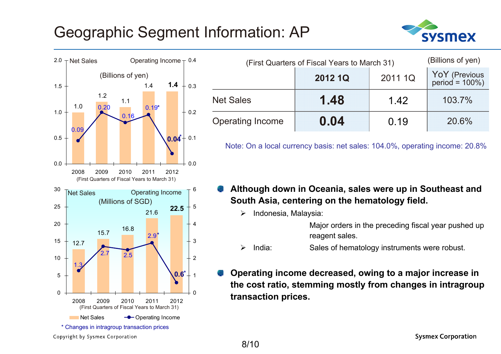#### Geographic Segment Information: AP





| (First Quarters of Fiscal Years to March 31) | (Billions of yen) |         |                                 |
|----------------------------------------------|-------------------|---------|---------------------------------|
|                                              | 2012 1Q           | 2011 1Q | YoY (Previous<br>period = 100%) |
| <b>Net Sales</b>                             | 1.48              | 1.42    | 103.7%                          |
| <b>Operating Income</b>                      | 0.04              | 0.19    | 20.6%                           |

Note: On a local currency basis: net sales: 104.0%, operating income: 20.8%

- **Although down in Oceania, sales were up in Southeast and South Asia, centering on the hematology field.**
	- $\blacktriangleright$ Indonesia, Malaysia:

Major orders in the preceding fiscal year pushed up reagent sales.

- $\blacktriangleright$ India: Sales of hematology instruments were robust.
- **Operating income decreased, owing to a major increase in the cost ratio, stemming mostly from changes in intragroup transaction prices.**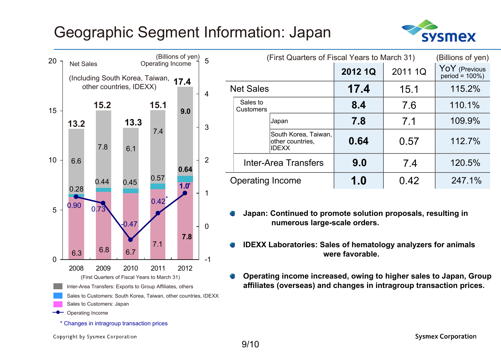#### Geographic Segment Information: Japan





|                  |                              | (First Quarters of Fiscal Years to March 31)             |         | (Billions of yen) |                                     |
|------------------|------------------------------|----------------------------------------------------------|---------|-------------------|-------------------------------------|
|                  |                              |                                                          | 2012 1Q | 2011 1Q           | YoY (Previous<br>period = $100\%$ ) |
| <b>Net Sales</b> |                              |                                                          | 17.4    | 15.1              | 115.2%                              |
|                  | Sales to<br><b>Customers</b> |                                                          | 8.4     | 7.6               | 110.1%                              |
|                  |                              | Japan                                                    | 7.8     | 7.1               | 109.9%                              |
|                  |                              | South Korea, Taiwan,<br>other countries,<br><b>IDEXX</b> | 0.64    | 0.57              | 112.7%                              |
|                  |                              | <b>Inter-Area Transfers</b>                              | 9.0     | 7.4               | 120.5%                              |
|                  | <b>Operating Income</b>      |                                                          | 1.0     | 0.42              | 247.1%                              |

- **Japan: Continued to promote solution proposals, resulting in numerous large-scale orders.**
- **IDEXX Laboratories: Sales of hematology analyzers for animals were favorable.**
- **Operating income increased, owing to higher sales to Japan, Group affiliates (overseas) and changes in intragroup transaction prices.**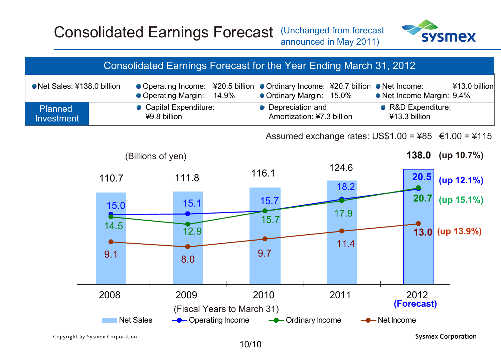#### Consolidated Earnings Forecast (Unchanged from forecast announced in May 2011)



|                                     |                             | Consolidated Earnings Forecast for the Year Ending March 31, 2012 |                            |                                                  |                                                                      |               |              |                                     |                                                       |
|-------------------------------------|-----------------------------|-------------------------------------------------------------------|----------------------------|--------------------------------------------------|----------------------------------------------------------------------|---------------|--------------|-------------------------------------|-------------------------------------------------------|
| Net Sales: ¥138.0 billion           |                             | Operating Income:<br>• Operating Margin:                          | ¥20.5 billion<br>14.9%     |                                                  | ● Ordinary Income: ¥20.7 billion ● Net Income:<br>• Ordinary Margin: | 15.0%         |              |                                     | ¥13.0 billion<br>• Net Income Margin: 9.4%            |
| <b>Planned</b><br><b>Investment</b> |                             | Capital Expenditure:<br>¥9.8 billion                              |                            | • Depreciation and<br>Amortization: ¥7.3 billion |                                                                      |               |              | • R&D Expenditure:<br>¥13.3 billion |                                                       |
|                                     |                             |                                                                   |                            |                                                  |                                                                      |               |              |                                     | Assumed exchange rates: US\$1.00 = ¥85 $€1.00 = 4115$ |
|                                     |                             | (Billions of yen)                                                 |                            |                                                  |                                                                      |               |              |                                     | 138.0 (up $10.7\%$ )                                  |
|                                     | 110.7                       | 111.8                                                             |                            | 116.1                                            |                                                                      | 124.6<br>18.2 |              | 20.5                                | (up 12.1%)                                            |
|                                     | 15.0                        | 15.1                                                              |                            | 15.7                                             |                                                                      |               |              | 20.7                                | (up 15.1%)                                            |
|                                     | <u>ransa</u><br>14.5<br>9.1 | 12.9                                                              |                            | 15.7<br>9.7                                      |                                                                      | 17.9<br>11.4  |              |                                     | $13.0$ (up 13.9%)                                     |
|                                     |                             | 8.0                                                               |                            |                                                  |                                                                      |               |              |                                     |                                                       |
|                                     | 2008                        | 2009                                                              | (Fiscal Years to March 31) | 2010                                             |                                                                      | 2011          |              | 2012<br>(Forecast)                  |                                                       |
|                                     |                             | <b>Net Sales</b>                                                  | <b>-</b> Operating Income  |                                                  | <b>-C</b> -Ordinary Income                                           |               | - Net Income |                                     |                                                       |

Copyright by Sysmex Corporation

**Sysmex Corporation** 

10/10